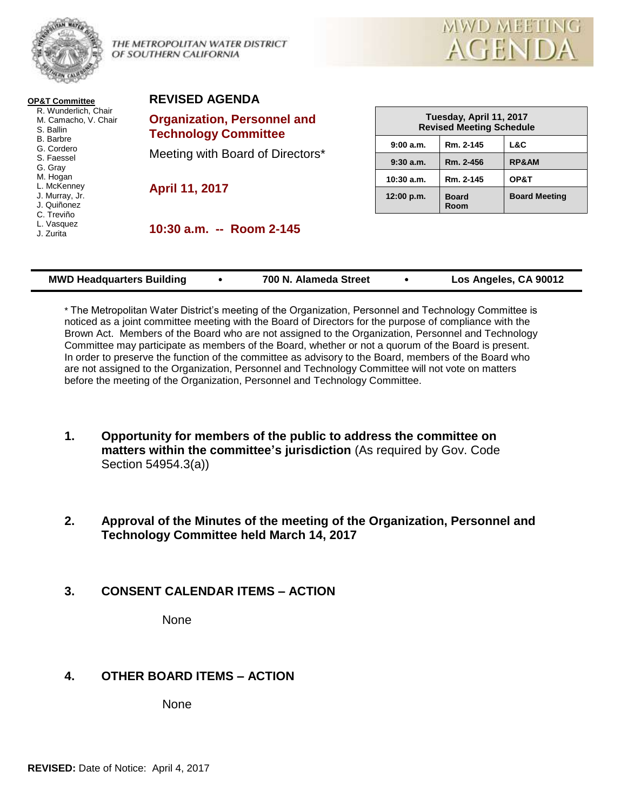

THE METROPOLITAN WATER DISTRICT OF SOUTHERN CALIFORNIA



**OP&T Committee** R. Wunderlich, Chair M. Camacho, V. Chair S. Ballin B. Barbre G. Cordero S. Faessel G. Gray M. Hogan L. McKenney J. Murray, Jr. J. Quiñonez C. Treviño L. Vasquez J. Zurita

**REVISED AGENDA** 

**Organization, Personnel and Technology Committee**

Meeting with Board of Directors\*

**April 11, 2017**

**10:30 a.m. -- Room 2-145**

| Tuesday, April 11, 2017<br><b>Revised Meeting Schedule</b> |                      |                      |  |  |  |
|------------------------------------------------------------|----------------------|----------------------|--|--|--|
| 9:00 a.m.                                                  | Rm. 2-145            | L&C                  |  |  |  |
| 9:30a.m.                                                   | Rm. 2-456            | <b>RP&amp;AM</b>     |  |  |  |
| 10:30 a.m.                                                 | Rm. 2-145            | OP&T                 |  |  |  |
| 12:00 p.m.                                                 | <b>Board</b><br>Room | <b>Board Meeting</b> |  |  |  |

| <b>MWD Headquarters Building</b> | 700 N. Alameda Street | Los Angeles, CA 90012 |
|----------------------------------|-----------------------|-----------------------|
|                                  |                       |                       |

\* The Metropolitan Water District's meeting of the Organization, Personnel and Technology Committee is noticed as a joint committee meeting with the Board of Directors for the purpose of compliance with the Brown Act. Members of the Board who are not assigned to the Organization, Personnel and Technology Committee may participate as members of the Board, whether or not a quorum of the Board is present. In order to preserve the function of the committee as advisory to the Board, members of the Board who are not assigned to the Organization, Personnel and Technology Committee will not vote on matters before the meeting of the Organization, Personnel and Technology Committee.

- **1. Opportunity for members of the public to address the committee on matters within the committee's jurisdiction** (As required by Gov. Code Section 54954.3(a))
- **2. Approval of the Minutes of the meeting of the Organization, Personnel and Technology Committee held March 14, 2017**
- **3. CONSENT CALENDAR ITEMS – ACTION**

None

# **4. OTHER BOARD ITEMS – ACTION**

None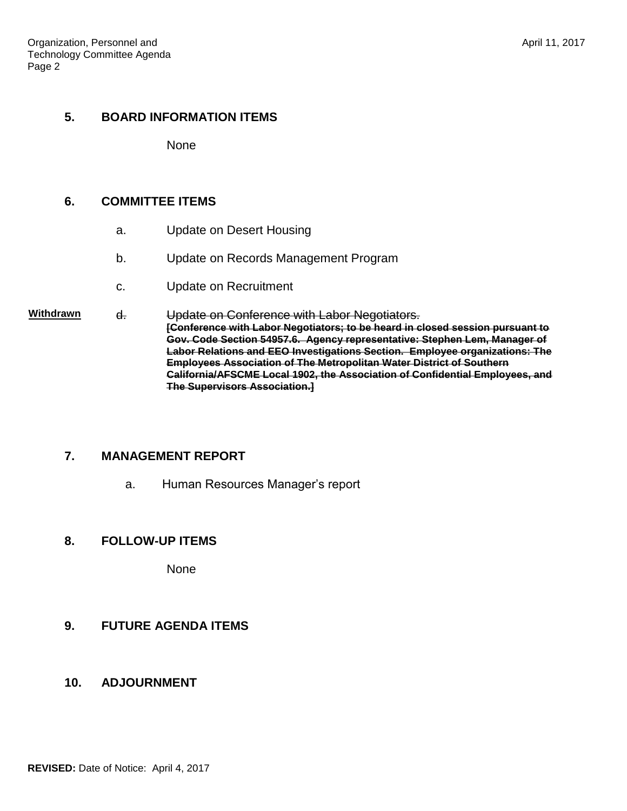#### **5. BOARD INFORMATION ITEMS**

None

### **6. COMMITTEE ITEMS**

- a. Update on Desert Housing
- b. Update on Records Management Program
- c. Update on Recruitment

#### Withdrawn **d.** Update on Conference with Labor Negotiators. **[Conference with Labor Negotiators; to be heard in closed session pursuant to Gov. Code Section 54957.6. Agency representative: Stephen Lem, Manager of Labor Relations and EEO Investigations Section. Employee organizations: The Employees Association of The Metropolitan Water District of Southern California/AFSCME Local 1902, the Association of Confidential Employees, and The Supervisors Association.]**

# **7. MANAGEMENT REPORT**

a. Human Resources Manager's report

# **8. FOLLOW-UP ITEMS**

None

# **9. FUTURE AGENDA ITEMS**

#### **10. ADJOURNMENT**